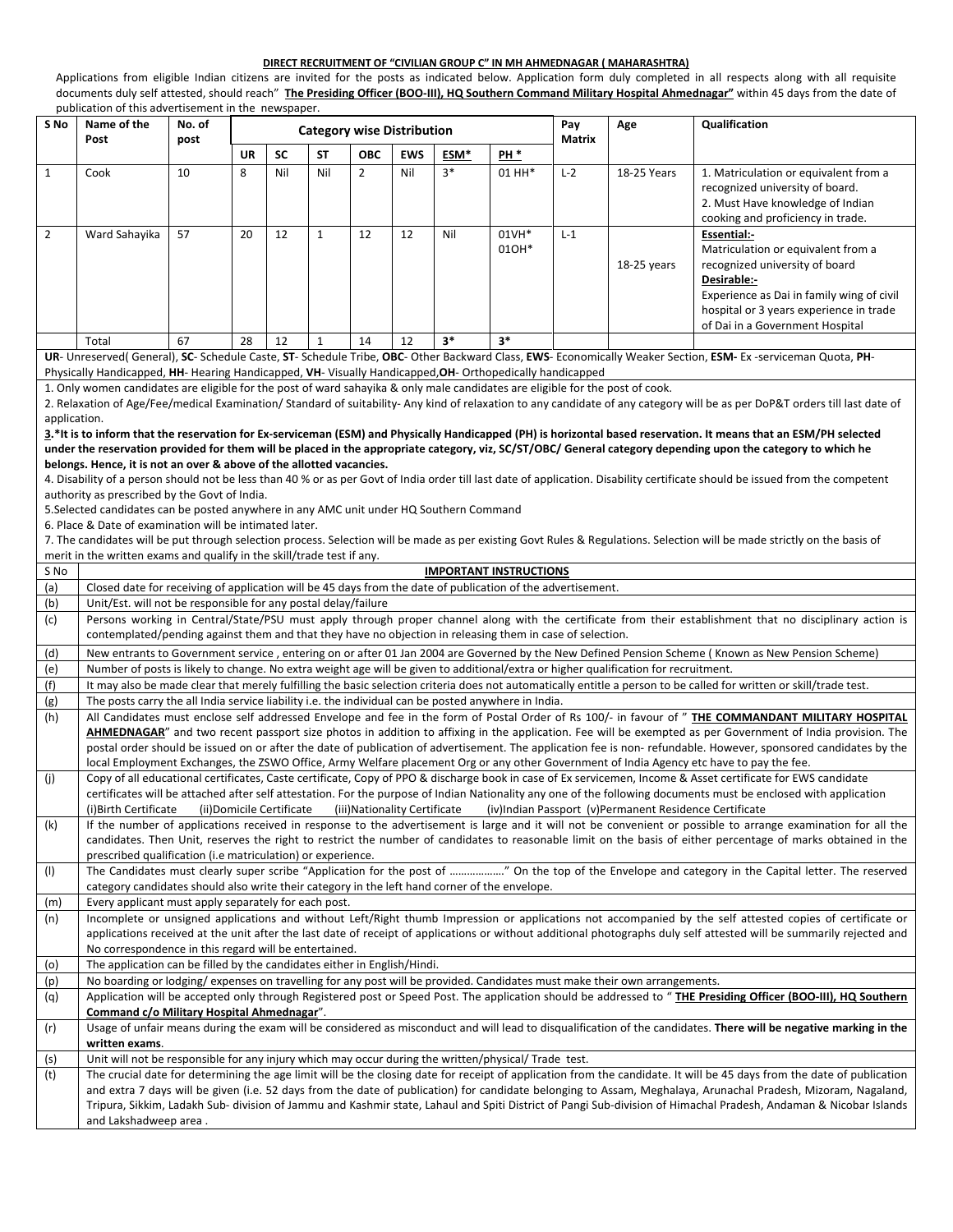## **DIRECT RECRUITMENT OF "CIVILIAN GROUP C" IN MH AHMEDNAGAR ( MAHARASHTRA)**

Applications from eligible Indian citizens are invited for the posts as indicated below. Application form duly completed in all respects along with all requisite documents duly self attested, should reach" **The Presiding Officer (BOO-III), HQ Southern Command Military Hospital Ahmednagar"** within 45 days from the date of publication of this advertisement in the newspaper.

| S No           | Name of the<br>Post                                                                                                                                                                                                                                                         | No. of<br>post | <b>Category wise Distribution</b> |           |              |                |            |      |                               | Pay<br>Matrix | Age                                                                                                                               | Qualification                                                                                                                                                                                                                                                                                                                     |
|----------------|-----------------------------------------------------------------------------------------------------------------------------------------------------------------------------------------------------------------------------------------------------------------------------|----------------|-----------------------------------|-----------|--------------|----------------|------------|------|-------------------------------|---------------|-----------------------------------------------------------------------------------------------------------------------------------|-----------------------------------------------------------------------------------------------------------------------------------------------------------------------------------------------------------------------------------------------------------------------------------------------------------------------------------|
|                |                                                                                                                                                                                                                                                                             |                | <b>UR</b>                         | <b>SC</b> | <b>ST</b>    | <b>OBC</b>     | <b>EWS</b> | ESM* | PH <sup>*</sup>               |               |                                                                                                                                   |                                                                                                                                                                                                                                                                                                                                   |
| $\mathbf{1}$   | Cook                                                                                                                                                                                                                                                                        | 10             | 8                                 | Nil       | Nil          | $\overline{2}$ | Nil        | $3*$ | 01 HH*                        | $L-2$         | 18-25 Years                                                                                                                       | 1. Matriculation or equivalent from a<br>recognized university of board.<br>2. Must Have knowledge of Indian<br>cooking and proficiency in trade.                                                                                                                                                                                 |
| $\overline{2}$ | Ward Sahayika                                                                                                                                                                                                                                                               | 57             | 20                                | 12        | $\mathbf{1}$ | 12             | 12         | Nil  | 01VH*<br>010H*                | $L-1$         | 18-25 years                                                                                                                       | Essential:-<br>Matriculation or equivalent from a<br>recognized university of board<br>Desirable:-<br>Experience as Dai in family wing of civil<br>hospital or 3 years experience in trade<br>of Dai in a Government Hospital                                                                                                     |
|                | Total                                                                                                                                                                                                                                                                       | 67             | 28                                | 12        | $\mathbf{1}$ | 14             | 12         | $3*$ | $3*$                          |               |                                                                                                                                   |                                                                                                                                                                                                                                                                                                                                   |
|                | UR- Unreserved(General), SC- Schedule Caste, ST- Schedule Tribe, OBC- Other Backward Class, EWS- Economically Weaker Section, ESM- Ex-serviceman Quota, PH-<br>Physically Handicapped, HH- Hearing Handicapped, VH- Visually Handicapped, OH- Orthopedically handicapped    |                |                                   |           |              |                |            |      |                               |               |                                                                                                                                   |                                                                                                                                                                                                                                                                                                                                   |
|                | 1. Only women candidates are eligible for the post of ward sahayika & only male candidates are eligible for the post of cook.                                                                                                                                               |                |                                   |           |              |                |            |      |                               |               |                                                                                                                                   |                                                                                                                                                                                                                                                                                                                                   |
|                |                                                                                                                                                                                                                                                                             |                |                                   |           |              |                |            |      |                               |               |                                                                                                                                   | 2. Relaxation of Age/Fee/medical Examination/ Standard of suitability- Any kind of relaxation to any candidate of any category will be as per DoP&T orders till last date of                                                                                                                                                      |
| application.   |                                                                                                                                                                                                                                                                             |                |                                   |           |              |                |            |      |                               |               |                                                                                                                                   |                                                                                                                                                                                                                                                                                                                                   |
|                |                                                                                                                                                                                                                                                                             |                |                                   |           |              |                |            |      |                               |               |                                                                                                                                   | 3.*It is to inform that the reservation for Ex-serviceman (ESM) and Physically Handicapped (PH) is horizontal based reservation. It means that an ESM/PH selected                                                                                                                                                                 |
|                |                                                                                                                                                                                                                                                                             |                |                                   |           |              |                |            |      |                               |               |                                                                                                                                   | under the reservation provided for them will be placed in the appropriate category, viz, SC/ST/OBC/ General category depending upon the category to which he                                                                                                                                                                      |
|                | belongs. Hence, it is not an over & above of the allotted vacancies.                                                                                                                                                                                                        |                |                                   |           |              |                |            |      |                               |               |                                                                                                                                   |                                                                                                                                                                                                                                                                                                                                   |
|                | authority as prescribed by the Govt of India.                                                                                                                                                                                                                               |                |                                   |           |              |                |            |      |                               |               |                                                                                                                                   | 4. Disability of a person should not be less than 40 % or as per Govt of India order till last date of application. Disability certificate should be issued from the competent                                                                                                                                                    |
|                | 5. Selected candidates can be posted anywhere in any AMC unit under HQ Southern Command                                                                                                                                                                                     |                |                                   |           |              |                |            |      |                               |               |                                                                                                                                   |                                                                                                                                                                                                                                                                                                                                   |
|                | 6. Place & Date of examination will be intimated later.                                                                                                                                                                                                                     |                |                                   |           |              |                |            |      |                               |               |                                                                                                                                   |                                                                                                                                                                                                                                                                                                                                   |
|                |                                                                                                                                                                                                                                                                             |                |                                   |           |              |                |            |      |                               |               |                                                                                                                                   | 7. The candidates will be put through selection process. Selection will be made as per existing Govt Rules & Regulations. Selection will be made strictly on the basis of                                                                                                                                                         |
|                | merit in the written exams and qualify in the skill/trade test if any.                                                                                                                                                                                                      |                |                                   |           |              |                |            |      |                               |               |                                                                                                                                   |                                                                                                                                                                                                                                                                                                                                   |
| S No<br>(a)    | Closed date for receiving of application will be 45 days from the date of publication of the advertisement.                                                                                                                                                                 |                |                                   |           |              |                |            |      | <b>IMPORTANT INSTRUCTIONS</b> |               |                                                                                                                                   |                                                                                                                                                                                                                                                                                                                                   |
| (b)            |                                                                                                                                                                                                                                                                             |                |                                   |           |              |                |            |      |                               |               |                                                                                                                                   |                                                                                                                                                                                                                                                                                                                                   |
| (c)            | Unit/Est. will not be responsible for any postal delay/failure<br>Persons working in Central/State/PSU must apply through proper channel along with the certificate from their establishment that no disciplinary action is                                                 |                |                                   |           |              |                |            |      |                               |               |                                                                                                                                   |                                                                                                                                                                                                                                                                                                                                   |
|                | contemplated/pending against them and that they have no objection in releasing them in case of selection.                                                                                                                                                                   |                |                                   |           |              |                |            |      |                               |               |                                                                                                                                   |                                                                                                                                                                                                                                                                                                                                   |
| (d)            | New entrants to Government service, entering on or after 01 Jan 2004 are Governed by the New Defined Pension Scheme (Known as New Pension Scheme)                                                                                                                           |                |                                   |           |              |                |            |      |                               |               |                                                                                                                                   |                                                                                                                                                                                                                                                                                                                                   |
| (e)            | Number of posts is likely to change. No extra weight age will be given to additional/extra or higher qualification for recruitment.                                                                                                                                         |                |                                   |           |              |                |            |      |                               |               |                                                                                                                                   |                                                                                                                                                                                                                                                                                                                                   |
| (f)            | It may also be made clear that merely fulfilling the basic selection criteria does not automatically entitle a person to be called for written or skill/trade test.<br>The posts carry the all India service liability i.e. the individual can be posted anywhere in India. |                |                                   |           |              |                |            |      |                               |               |                                                                                                                                   |                                                                                                                                                                                                                                                                                                                                   |
| (g)<br>(h)     |                                                                                                                                                                                                                                                                             |                |                                   |           |              |                |            |      |                               |               |                                                                                                                                   | All Candidates must enclose self addressed Envelope and fee in the form of Postal Order of Rs 100/- in favour of "THE COMMANDANT MILITARY HOSPITAL                                                                                                                                                                                |
|                |                                                                                                                                                                                                                                                                             |                |                                   |           |              |                |            |      |                               |               |                                                                                                                                   | AHMEDNAGAR" and two recent passport size photos in addition to affixing in the application. Fee will be exempted as per Government of India provision. The                                                                                                                                                                        |
|                |                                                                                                                                                                                                                                                                             |                |                                   |           |              |                |            |      |                               |               |                                                                                                                                   | postal order should be issued on or after the date of publication of advertisement. The application fee is non-refundable. However, sponsored candidates by the                                                                                                                                                                   |
|                |                                                                                                                                                                                                                                                                             |                |                                   |           |              |                |            |      |                               |               |                                                                                                                                   | local Employment Exchanges, the ZSWO Office, Army Welfare placement Org or any other Government of India Agency etc have to pay the fee.                                                                                                                                                                                          |
| (j)            |                                                                                                                                                                                                                                                                             |                |                                   |           |              |                |            |      |                               |               |                                                                                                                                   | Copy of all educational certificates, Caste certificate, Copy of PPO & discharge book in case of Ex servicemen, Income & Asset certificate for EWS candidate<br>certificates will be attached after self attestation. For the purpose of Indian Nationality any one of the following documents must be enclosed with application  |
|                |                                                                                                                                                                                                                                                                             |                |                                   |           |              |                |            |      |                               |               | (i)Birth Certificate (ii)Domicile Certificate (iii)Nationality Certificate (iv)Indian Passport (v)Permanent Residence Certificate |                                                                                                                                                                                                                                                                                                                                   |
| (k)            |                                                                                                                                                                                                                                                                             |                |                                   |           |              |                |            |      |                               |               |                                                                                                                                   | If the number of applications received in response to the advertisement is large and it will not be convenient or possible to arrange examination for all the                                                                                                                                                                     |
|                |                                                                                                                                                                                                                                                                             |                |                                   |           |              |                |            |      |                               |               |                                                                                                                                   | candidates. Then Unit, reserves the right to restrict the number of candidates to reasonable limit on the basis of either percentage of marks obtained in the                                                                                                                                                                     |
|                | prescribed qualification (i.e matriculation) or experience.                                                                                                                                                                                                                 |                |                                   |           |              |                |            |      |                               |               |                                                                                                                                   |                                                                                                                                                                                                                                                                                                                                   |
| (1)            | category candidates should also write their category in the left hand corner of the envelope.                                                                                                                                                                               |                |                                   |           |              |                |            |      |                               |               |                                                                                                                                   | The Candidates must clearly super scribe "Application for the post of " On the top of the Envelope and category in the Capital letter. The reserved                                                                                                                                                                               |
| (m)            | Every applicant must apply separately for each post.                                                                                                                                                                                                                        |                |                                   |           |              |                |            |      |                               |               |                                                                                                                                   |                                                                                                                                                                                                                                                                                                                                   |
| (n)            |                                                                                                                                                                                                                                                                             |                |                                   |           |              |                |            |      |                               |               |                                                                                                                                   | Incomplete or unsigned applications and without Left/Right thumb Impression or applications not accompanied by the self attested copies of certificate or                                                                                                                                                                         |
|                |                                                                                                                                                                                                                                                                             |                |                                   |           |              |                |            |      |                               |               |                                                                                                                                   | applications received at the unit after the last date of receipt of applications or without additional photographs duly self attested will be summarily rejected and                                                                                                                                                              |
|                | No correspondence in this regard will be entertained.                                                                                                                                                                                                                       |                |                                   |           |              |                |            |      |                               |               |                                                                                                                                   |                                                                                                                                                                                                                                                                                                                                   |
| (o)            | The application can be filled by the candidates either in English/Hindi.<br>No boarding or lodging/ expenses on travelling for any post will be provided. Candidates must make their own arrangements.                                                                      |                |                                   |           |              |                |            |      |                               |               |                                                                                                                                   |                                                                                                                                                                                                                                                                                                                                   |
| (p)            |                                                                                                                                                                                                                                                                             |                |                                   |           |              |                |            |      |                               |               |                                                                                                                                   | Application will be accepted only through Registered post or Speed Post. The application should be addressed to "THE Presiding Officer (BOO-III), HQ Southern                                                                                                                                                                     |
| (q)            | Command c/o Military Hospital Ahmednagar".                                                                                                                                                                                                                                  |                |                                   |           |              |                |            |      |                               |               |                                                                                                                                   |                                                                                                                                                                                                                                                                                                                                   |
| (r)            | Usage of unfair means during the exam will be considered as misconduct and will lead to disqualification of the candidates. There will be negative marking in the<br>written exams.                                                                                         |                |                                   |           |              |                |            |      |                               |               |                                                                                                                                   |                                                                                                                                                                                                                                                                                                                                   |
|                |                                                                                                                                                                                                                                                                             |                |                                   |           |              |                |            |      |                               |               |                                                                                                                                   |                                                                                                                                                                                                                                                                                                                                   |
| (s)            | Unit will not be responsible for any injury which may occur during the written/physical/ Trade test.                                                                                                                                                                        |                |                                   |           |              |                |            |      |                               |               |                                                                                                                                   |                                                                                                                                                                                                                                                                                                                                   |
| (t)            |                                                                                                                                                                                                                                                                             |                |                                   |           |              |                |            |      |                               |               |                                                                                                                                   | The crucial date for determining the age limit will be the closing date for receipt of application from the candidate. It will be 45 days from the date of publication                                                                                                                                                            |
|                |                                                                                                                                                                                                                                                                             |                |                                   |           |              |                |            |      |                               |               |                                                                                                                                   | and extra 7 days will be given (i.e. 52 days from the date of publication) for candidate belonging to Assam, Meghalaya, Arunachal Pradesh, Mizoram, Nagaland,<br>Tripura, Sikkim, Ladakh Sub- division of Jammu and Kashmir state, Lahaul and Spiti District of Pangi Sub-division of Himachal Pradesh, Andaman & Nicobar Islands |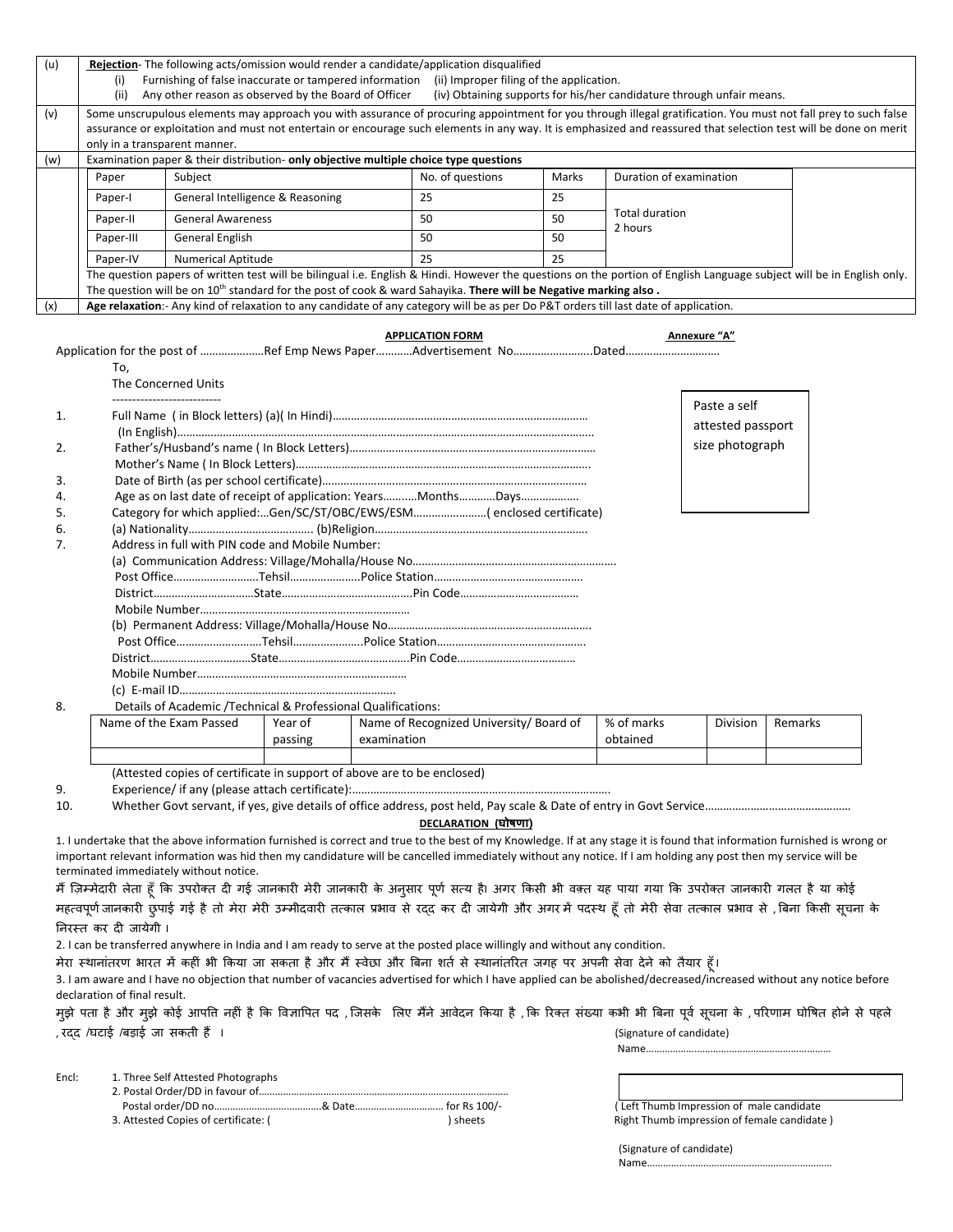|     | <b>Rejection-</b> The following acts/omission would render a candidate/application disqualified                                                                       |                                                                                                                                      |                  |       |                           |  |  |  |  |  |
|-----|-----------------------------------------------------------------------------------------------------------------------------------------------------------------------|--------------------------------------------------------------------------------------------------------------------------------------|------------------|-------|---------------------------|--|--|--|--|--|
|     | Furnishing of false inaccurate or tampered information<br>(ii) Improper filing of the application.<br>(i)                                                             |                                                                                                                                      |                  |       |                           |  |  |  |  |  |
|     | Any other reason as observed by the Board of Officer<br>(iv) Obtaining supports for his/her candidature through unfair means.<br>(ii)                                 |                                                                                                                                      |                  |       |                           |  |  |  |  |  |
| (v) | Some unscrupulous elements may approach you with assurance of procuring appointment for you through illegal gratification. You must not fall prey to such false       |                                                                                                                                      |                  |       |                           |  |  |  |  |  |
|     | assurance or exploitation and must not entertain or encourage such elements in any way. It is emphasized and reassured that selection test will be done on merit      |                                                                                                                                      |                  |       |                           |  |  |  |  |  |
|     | only in a transparent manner.                                                                                                                                         |                                                                                                                                      |                  |       |                           |  |  |  |  |  |
| (w) | Examination paper & their distribution- only objective multiple choice type questions                                                                                 |                                                                                                                                      |                  |       |                           |  |  |  |  |  |
|     | Paper                                                                                                                                                                 | Subject                                                                                                                              | No. of questions | Marks | Duration of examination   |  |  |  |  |  |
|     | Paper-I                                                                                                                                                               | General Intelligence & Reasoning                                                                                                     | 25               | 25    |                           |  |  |  |  |  |
|     | Paper-II                                                                                                                                                              | <b>General Awareness</b>                                                                                                             | 50               | 50    | Total duration<br>2 hours |  |  |  |  |  |
|     | Paper-III                                                                                                                                                             | <b>General English</b>                                                                                                               | 50               | 50    |                           |  |  |  |  |  |
|     | Paper-IV                                                                                                                                                              | <b>Numerical Aptitude</b>                                                                                                            | 25               | 25    |                           |  |  |  |  |  |
|     | The question papers of written test will be bilingual i.e. English & Hindi. However the questions on the portion of English Language subject will be in English only. |                                                                                                                                      |                  |       |                           |  |  |  |  |  |
|     | The question will be on 10 <sup>th</sup> standard for the post of cook & ward Sahayika. <b>There will be Negative marking also.</b>                                   |                                                                                                                                      |                  |       |                           |  |  |  |  |  |
| (x) |                                                                                                                                                                       | Age relaxation:- Any kind of relaxation to any candidate of any category will be as per Do P&T orders till last date of application. |                  |       |                           |  |  |  |  |  |

|    | <b>APPLICATION FORM</b>                                             | Annexure "A"                      |
|----|---------------------------------------------------------------------|-----------------------------------|
|    | Application for the post of Ref Emp News PaperAdvertisement NoDated |                                   |
|    | To,                                                                 |                                   |
|    | The Concerned Units                                                 |                                   |
| 1. | ------------------------                                            | Paste a self<br>attested passport |
| 2. |                                                                     | size photograph                   |
|    |                                                                     |                                   |
| 3. |                                                                     |                                   |
| 4. | Age as on last date of receipt of application: YearsMonthsDays      |                                   |
| 5. | (enclosed certificate)Gen/SC/ST/OBC/EWS/ESM(enclosed certificate)   |                                   |
| 6. |                                                                     |                                   |
| 7. | Address in full with PIN code and Mobile Number:                    |                                   |
|    |                                                                     |                                   |
|    |                                                                     |                                   |
|    |                                                                     |                                   |
|    |                                                                     |                                   |
|    |                                                                     |                                   |
|    |                                                                     |                                   |
|    |                                                                     |                                   |
|    |                                                                     |                                   |
|    |                                                                     |                                   |
| 8. | Details of Academic /Technical & Professional Qualifications:       |                                   |

| Name of the Exam Passed | Year of<br>passing | Name of Recognized University/ Board of<br>examination | % of marks<br>obtained | Division | Remarks |
|-------------------------|--------------------|--------------------------------------------------------|------------------------|----------|---------|
|                         |                    |                                                        |                        |          |         |

(Attested copies of certificate in support of above are to be enclosed)

9. Experience/ if any (please attach certificate):………………………………………………………………………….

10. Whether Govt servant, if yes, give details of office address, post held, Pay scale & Date of entry in Govt Service…………………………………………

**DECLARATION (घोषणा)**

1. I undertake that the above information furnished is correct and true to the best of my Knowledge. If at any stage it is found that information furnished is wrong or important relevant information was hid then my candidature will be cancelled immediately without any notice. If I am holding any post then my service will be terminated immediately without notice.

मैं ज़िम्मेदारी लेता हूँ कि उपरोक्त दी गई जानकारी मेरी जानकारी के अनुसार भूए सत्य को आगत के अपरोक्त जानकारी गलत है या कोई महत्वपूर्ण जानकारी छुपाई गई है तो मेरा मेरी उम्मीदवारी तत्काल प्रभाव से रदद कर दी जायेगी और अगर में पर्दस्थ हूँ तो मेरी सेवा तत्काल प्रभाव से , बिना किसी सूचना के �नरस्त कर द� जायेगी I

2. I can be transferred anywhere in India and I am ready to serve at the posted place willingly and without any condition.

मेरा स्थानांतरण भारत में कहीं भी किया जा सकता है और मैं स्वेछा और बिना शर्त से स्थानांतरित जगह पर अपनी सेवा देने को तैयार हूँ।

3. I am aware and I have no objection that number of vacancies advertised for which I have applied can be abolished/decreased/increased without any notice before declaration of final result.

मुझे पता है और मुझे कोई आपति नहीं है कि विज्ञापित पद ,जिसके लिए मैंने ओवेदन कि पत्न संख्या कभी भी बिना पूर्व सूचना के ,परिणाम घोषित होने से पहले , रदद /घटाई /बड़ाई जा सकती हैं । बाहे कि I (Signature of candidate) , उत्तर (Signature of candidate)

Name……………………………………………………………

Encl: 1. Three Self Attested Photographs

2. Postal Order/DD in favour of .........

Postal order/DD no………………………………………………………………………………………… for Rs 100/- [Left Thumb Impression of male candidate 3. Attested Copies of certificate: ( ) sheets and increase in the share results are results and increase in the share of female candidate ) sheets and Right Thumb impression of female candidate )

(Signature of candidate) Name……………………………………………………………